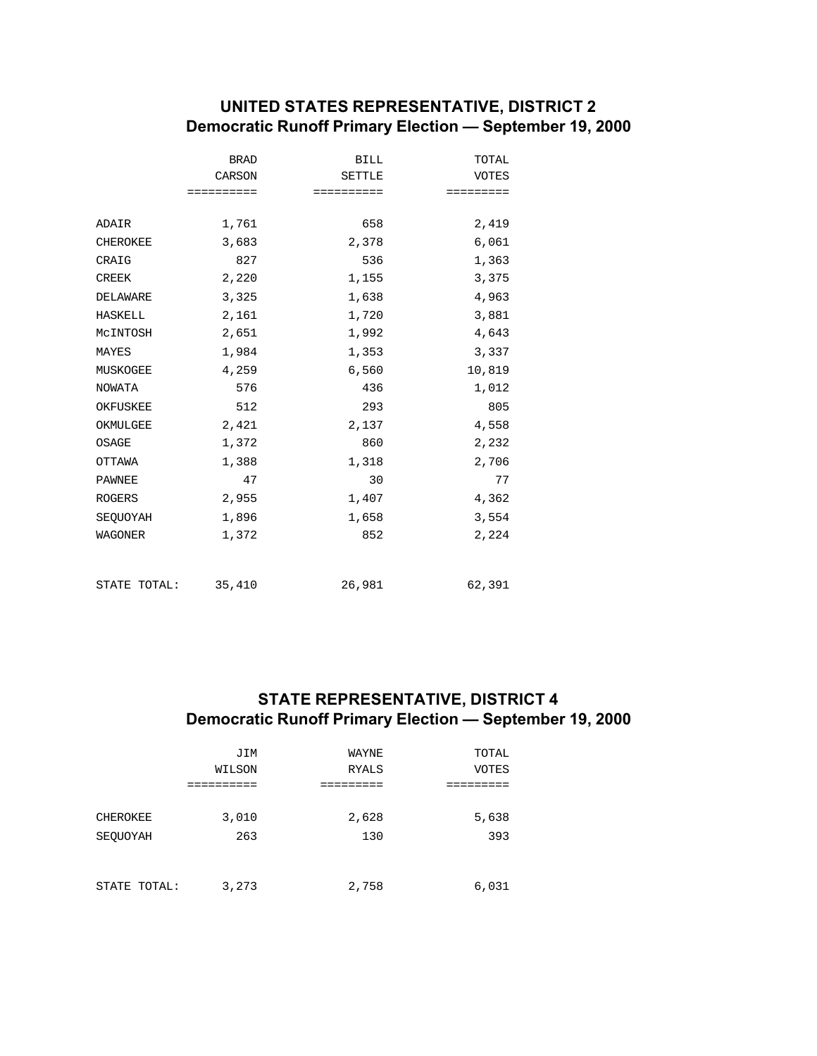## **UNITED STATES REPRESENTATIVE, DISTRICT 2 Democratic Runoff Primary Election — September 19, 2000**

|                 | <b>BRAD</b> | <b>BILL</b>   | TOTAL        |
|-----------------|-------------|---------------|--------------|
|                 | CARSON      | <b>SETTLE</b> | <b>VOTES</b> |
|                 | ==========  | ==========    | =========    |
|                 |             |               |              |
| ADAIR           | 1,761       | 658           | 2,419        |
| <b>CHEROKEE</b> | 3,683       | 2,378         | 6,061        |
| CRAIG           | 827         | 536           | 1,363        |
| <b>CREEK</b>    | 2,220       | 1,155         | 3,375        |
| DELAWARE        | 3,325       | 1,638         | 4,963        |
| HASKELL         | 2,161       | 1,720         | 3,881        |
| MCINTOSH        | 2,651       | 1,992         | 4,643        |
| MAYES           | 1,984       | 1,353         | 3,337        |
| MUSKOGEE        | 4,259       | 6,560         | 10,819       |
| NOWATA          | 576         | 436           | 1,012        |
| OKFUSKEE        | 512         | 293           | 805          |
| OKMULGEE        | 2,421       | 2,137         | 4,558        |
| OSAGE           | 1,372       | 860           | 2,232        |
| OTTAWA          | 1,388       | 1,318         | 2,706        |
| PAWNEE          | 47          | 30            | 77           |
| <b>ROGERS</b>   | 2,955       | 1,407         | 4,362        |
| SEQUOYAH        | 1,896       | 1,658         | 3,554        |
| WAGONER         | 1,372       | 852           | 2,224        |
| STATE TOTAL:    | 35,410      | 26,981        | 62,391       |
|                 |             |               |              |

# **STATE REPRESENTATIVE, DISTRICT 4 Democratic Runoff Primary Election — September 19, 2000**

|              | JIM    | WAYNE        | TOTAL |
|--------------|--------|--------------|-------|
|              | WILSON | <b>RYALS</b> | VOTES |
|              |        |              |       |
|              |        |              |       |
| CHEROKEE     | 3,010  | 2,628        | 5,638 |
| SEOUOYAH     | 263    | 130          | 393   |
|              |        |              |       |
|              |        |              |       |
| STATE TOTAL: | 3,273  | 2,758        | 6,031 |